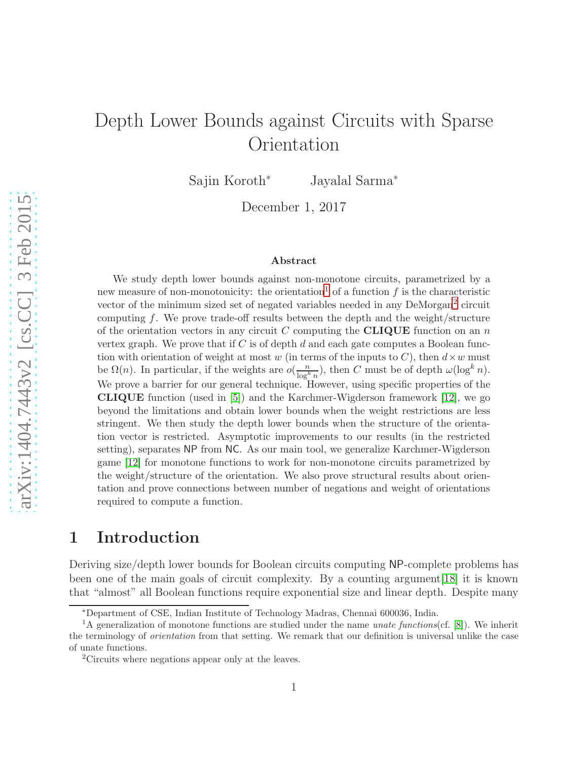# Depth Lower Bounds against Circuits with Sparse Orientation

Sajin Koroth<sup>∗</sup> Jayalal Sarma<sup>∗</sup>

December 1, 2017

#### Abstract

We study depth lower bounds against non-monotone circuits, parametrized by a new measure of non-monotonicity: the orientation<sup>1</sup> of a function f is the characteristic vector of the minimum sized set of negated variables needed in any DeMorgan<sup>2</sup> circuit computing  $f$ . We prove trade-off results between the depth and the weight/structure of the orientation vectors in any circuit C computing the CLIQUE function on an  $n$ vertex graph. We prove that if  $C$  is of depth  $d$  and each gate computes a Boolean function with orientation of weight at most w (in terms of the inputs to C), then  $d \times w$  must be  $\Omega(n)$ . In particular, if the weights are  $o(\frac{n}{\log^k n})$ , then C must be of depth  $\omega(\log^k n)$ . We prove a barrier for our general technique. However, using specific properties of the CLIQUE function (used in [\[5\]](#page-16-0)) and the Karchmer-Wigderson framework [\[12\]](#page-16-1), we go beyond the limitations and obtain lower bounds when the weight restrictions are less stringent. We then study the depth lower bounds when the structure of the orientation vector is restricted. Asymptotic improvements to our results (in the restricted setting), separates NP from NC. As our main tool, we generalize Karchmer-Wigderson game [\[12\]](#page-16-1) for monotone functions to work for non-monotone circuits parametrized by the weight/structure of the orientation. We also prove structural results about orientation and prove connections between number of negations and weight of orientations required to compute a function.

### 1 Introduction

Deriving size/depth lower bounds for Boolean circuits computing NP-complete problems has been one of the main goals of circuit complexity. By a counting argument[\[18\]](#page-17-0) it is known that "almost" all Boolean functions require exponential size and linear depth. Despite many

<sup>∗</sup>Department of CSE, Indian Institute of Technology Madras, Chennai 600036, India.

<sup>&</sup>lt;sup>1</sup>A generalization of monotone functions are studied under the name *unate functions*(cf. [\[8\]](#page-16-2)). We inherit the terminology of orientation from that setting. We remark that our definition is universal unlike the case of unate functions.

<sup>2</sup>Circuits where negations appear only at the leaves.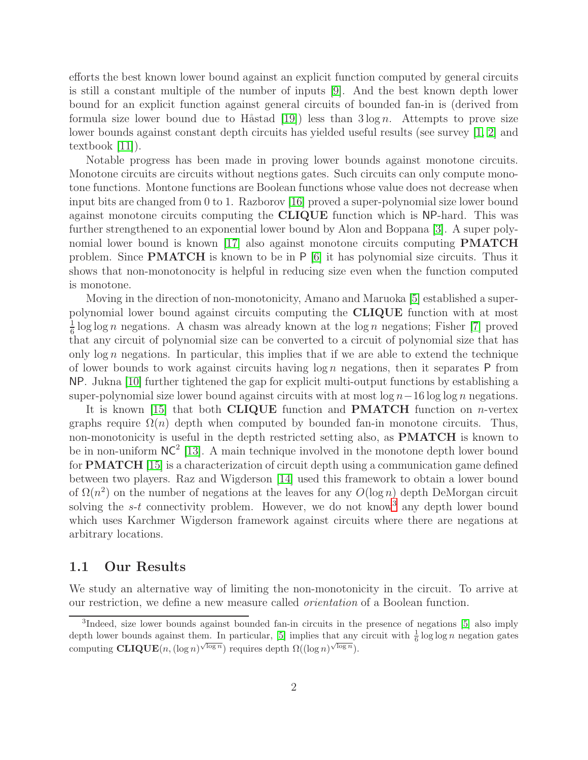efforts the best known lower bound against an explicit function computed by general circuits is still a constant multiple of the number of inputs [\[9\]](#page-16-3). And the best known depth lower bound for an explicit function against general circuits of bounded fan-in is (derived from formula size lower bound due to H $\alpha$ stad [\[19\]](#page-17-1)) less than  $3 \log n$ . Attempts to prove size lower bounds against constant depth circuits has yielded useful results (see survey [\[1,](#page-15-0) [2\]](#page-15-1) and textbook [\[11\]](#page-16-4)).

Notable progress has been made in proving lower bounds against monotone circuits. Monotone circuits are circuits without negtions gates. Such circuits can only compute monotone functions. Montone functions are Boolean functions whose value does not decrease when input bits are changed from 0 to 1. Razborov [\[16\]](#page-16-5) proved a super-polynomial size lower bound against monotone circuits computing the CLIQUE function which is NP-hard. This was further strengthened to an exponential lower bound by Alon and Boppana [\[3\]](#page-16-6). A super polynomial lower bound is known [\[17\]](#page-16-7) also against monotone circuits computing PMATCH problem. Since **PMATCH** is known to be in  $P$  [\[6\]](#page-16-8) it has polynomial size circuits. Thus it shows that non-monotonocity is helpful in reducing size even when the function computed is monotone.

Moving in the direction of non-monotonicity, Amano and Maruoka [\[5\]](#page-16-0) established a superpolynomial lower bound against circuits computing the CLIQUE function with at most 1  $\frac{1}{6}$  log log n negations. A chasm was already known at the log n negations; Fisher [\[7\]](#page-16-9) proved that any circuit of polynomial size can be converted to a circuit of polynomial size that has only  $\log n$  negations. In particular, this implies that if we are able to extend the technique of lower bounds to work against circuits having  $\log n$  negations, then it separates P from NP. Jukna [\[10\]](#page-16-10) further tightened the gap for explicit multi-output functions by establishing a super-polynomial size lower bound against circuits with at most  $\log n-16 \log \log n$  negations.

It is known [\[15\]](#page-16-11) that both **CLIQUE** function and **PMATCH** function on *n*-vertex graphs require  $\Omega(n)$  depth when computed by bounded fan-in monotone circuits. Thus, non-monotonicity is useful in the depth restricted setting also, as **PMATCH** is known to be in non-uniform  $NC^2$  [\[13\]](#page-16-12). A main technique involved in the monotone depth lower bound for PMATCH [\[15\]](#page-16-11) is a characterization of circuit depth using a communication game defined between two players. Raz and Wigderson [\[14\]](#page-16-13) used this framework to obtain a lower bound of  $\Omega(n^2)$  on the number of negations at the leaves for any  $O(\log n)$  depth DeMorgan circuit solving the  $s-t$  connectivity problem. However, we do not know<sup>3</sup> any depth lower bound which uses Karchmer Wigderson framework against circuits where there are negations at arbitrary locations.

### 1.1 Our Results

We study an alternative way of limiting the non-monotonicity in the circuit. To arrive at our restriction, we define a new measure called *orientation* of a Boolean function.

<sup>3</sup> Indeed, size lower bounds against bounded fan-in circuits in the presence of negations [\[5\]](#page-16-0) also imply depth lower bounds against them. In particular, [\[5\]](#page-16-0) implies that any circuit with  $\frac{1}{6} \log \log n$  negation gates computing  $\text{CLIQUE}(n, (\log n)^{\sqrt{\log n}})$  requires depth  $\Omega((\log n)^{\sqrt{\log n}})$ .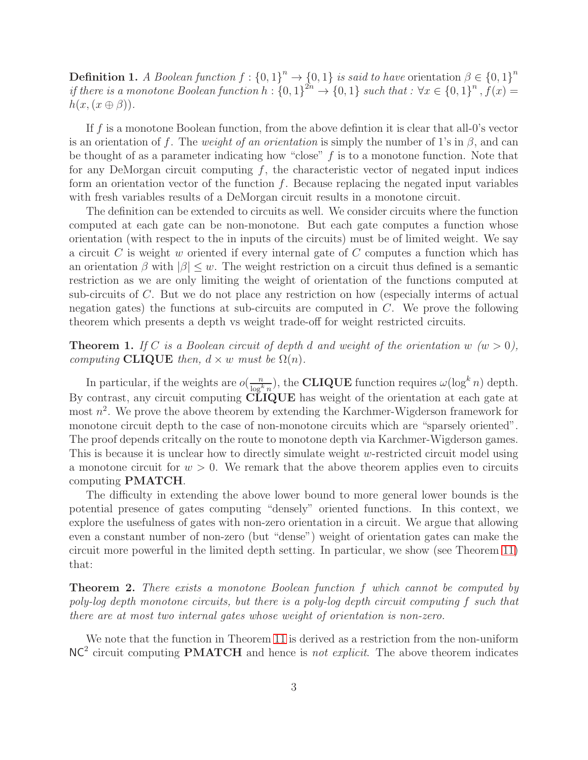**Definition 1.** *A Boolean function*  $f: \{0,1\}^n \to \{0,1\}$  *is said to have* orientation  $\beta \in \{0,1\}^n$ *if there is a monotone Boolean function*  $h: \{0,1\}^{2n} \to \{0,1\}$  *such that* :  $\forall x \in \{0,1\}^n$ ,  $f(x) =$  $h(x,(x \oplus \beta)).$ 

If  $f$  is a monotone Boolean function, from the above definition it is clear that all-0's vector is an orientation of f. The *weight of an orientation* is simply the number of 1's in  $\beta$ , and can be thought of as a parameter indicating how "close"  $f$  is to a monotone function. Note that for any DeMorgan circuit computing  $f$ , the characteristic vector of negated input indices form an orientation vector of the function  $f$ . Because replacing the negated input variables with fresh variables results of a DeMorgan circuit results in a monotone circuit.

The definition can be extended to circuits as well. We consider circuits where the function computed at each gate can be non-monotone. But each gate computes a function whose orientation (with respect to the in inputs of the circuits) must be of limited weight. We say a circuit  $C$  is weight  $w$  oriented if every internal gate of  $C$  computes a function which has an orientation  $\beta$  with  $|\beta| \leq w$ . The weight restriction on a circuit thus defined is a semantic restriction as we are only limiting the weight of orientation of the functions computed at sub-circuits of C. But we do not place any restriction on how (especially interms of actual negation gates) the functions at sub-circuits are computed in  $C$ . We prove the following theorem which presents a depth vs weight trade-off for weight restricted circuits.

<span id="page-2-0"></span>**Theorem 1.** *If* C *is a Boolean circuit of depth d and weight of the orientation* w  $(w > 0)$ , *computing* CLIQUE *then,*  $d \times w$  *must be*  $\Omega(n)$ *.* 

In particular, if the weights are  $o(\frac{n}{\log k})$  $\frac{n}{\log^k n}$ , the **CLIQUE** function requires  $\omega(\log^k n)$  depth. By contrast, any circuit computing CLIQUE has weight of the orientation at each gate at most  $n^2$ . We prove the above theorem by extending the Karchmer-Wigderson framework for monotone circuit depth to the case of non-monotone circuits which are "sparsely oriented". The proof depends critcally on the route to monotone depth via Karchmer-Wigderson games. This is because it is unclear how to directly simulate weight w-restricted circuit model using a monotone circuit for  $w > 0$ . We remark that the above theorem applies even to circuits computing PMATCH.

The difficulty in extending the above lower bound to more general lower bounds is the potential presence of gates computing "densely" oriented functions. In this context, we explore the usefulness of gates with non-zero orientation in a circuit. We argue that allowing even a constant number of non-zero (but "dense") weight of orientation gates can make the circuit more powerful in the limited depth setting. In particular, we show (see Theorem [11\)](#page-10-0) that:

Theorem 2. *There exists a monotone Boolean function* f *which cannot be computed by poly-log depth monotone circuits, but there is a poly-log depth circuit computing* f *such that there are at most two internal gates whose weight of orientation is non-zero.*

We note that the function in Theorem [11](#page-10-0) is derived as a restriction from the non-uniform NC<sup>2</sup> circuit computing PMATCH and hence is *not explicit*. The above theorem indicates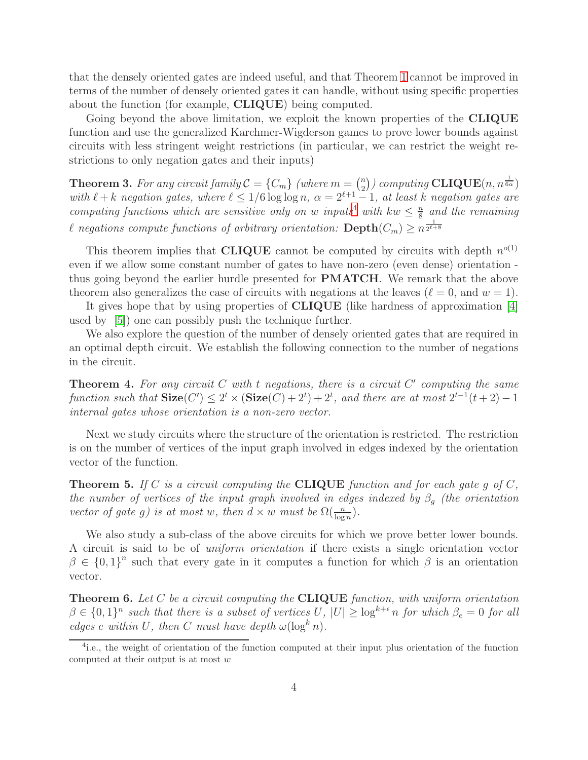that the densely oriented gates are indeed useful, and that Theorem [1](#page-2-0) cannot be improved in terms of the number of densely oriented gates it can handle, without using specific properties about the function (for example, CLIQUE) being computed.

Going beyond the above limitation, we exploit the known properties of the CLIQUE function and use the generalized Karchmer-Wigderson games to prove lower bounds against circuits with less stringent weight restrictions (in particular, we can restrict the weight restrictions to only negation gates and their inputs)

<span id="page-3-2"></span>**Theorem 3.** For any circuit family  $\mathcal{C} = \{C_m\}$  (where  $m = \binom{n}{2}$ )  $\binom{n}{2}$ ) computing  $\mathbf{CLIQUE}(n,n^{\frac{1}{6\alpha}})$ *with*  $\ell + k$  *negation gates, where*  $\ell \leq 1/6 \log \log n$ ,  $\alpha = 2^{\ell+1} - 1$ , at least k negation gates are *computing functions which are sensitive only on w inputs*<sup>4</sup> *with*  $kw \leq \frac{n}{8}$ 8 *and the remaining* l negations compute functions of arbitrary orientation:  $\textbf{Depth}(C_m)\geq n^{\frac{1}{2^{\ell+8}}}$ 

This theorem implies that **CLIQUE** cannot be computed by circuits with depth  $n^{o(1)}$ even if we allow some constant number of gates to have non-zero (even dense) orientation thus going beyond the earlier hurdle presented for PMATCH. We remark that the above theorem also generalizes the case of circuits with negations at the leaves  $(\ell = 0, \text{ and } w = 1)$ .

It gives hope that by using properties of CLIQUE (like hardness of approximation [\[4\]](#page-16-14) used by [\[5\]](#page-16-0)) one can possibly push the technique further.

<span id="page-3-1"></span>We also explore the question of the number of densely oriented gates that are required in an optimal depth circuit. We establish the following connection to the number of negations in the circuit.

Theorem 4. *For any circuit* C *with* t *negations, there is a circuit* C ′ *computing the same function such that*  $\textbf{Size}(C') \leq 2^t \times (\textbf{Size}(C) + 2^t) + 2^t$ , and there are at most  $2^{t-1}(t+2) - 1$ *internal gates whose orientation is a non-zero vector.*

<span id="page-3-3"></span>Next we study circuits where the structure of the orientation is restricted. The restriction is on the number of vertices of the input graph involved in edges indexed by the orientation vector of the function.

Theorem 5. *If* C *is a circuit computing the* CLIQUE *function and for each gate* g *of* C*, the number of vertices of the input graph involved in edges indexed by*  $\beta_q$  *(the orientation*) *vector of gate g) is at most* w, then  $d \times w$  *must be*  $\Omega(\frac{n}{\log n})$ *.* 

We also study a sub-class of the above circuits for which we prove better lower bounds. A circuit is said to be of *uniform orientation* if there exists a single orientation vector  $\beta \in \{0,1\}^n$  such that every gate in it computes a function for which  $\beta$  is an orientation vector.

<span id="page-3-0"></span>Theorem 6. *Let* C *be a circuit computing the* CLIQUE *function, with uniform orientation*  $\beta \in \{0,1\}^n$  such that there is a subset of vertices U,  $|U| \geq \log^{k+\epsilon} n$  for which  $\beta_e = 0$  for all *edges* e *within* U, then C must have depth  $\omega(\log^k n)$ .

<sup>&</sup>lt;sup>4</sup>i.e., the weight of orientation of the function computed at their input plus orientation of the function computed at their output is at most  $w$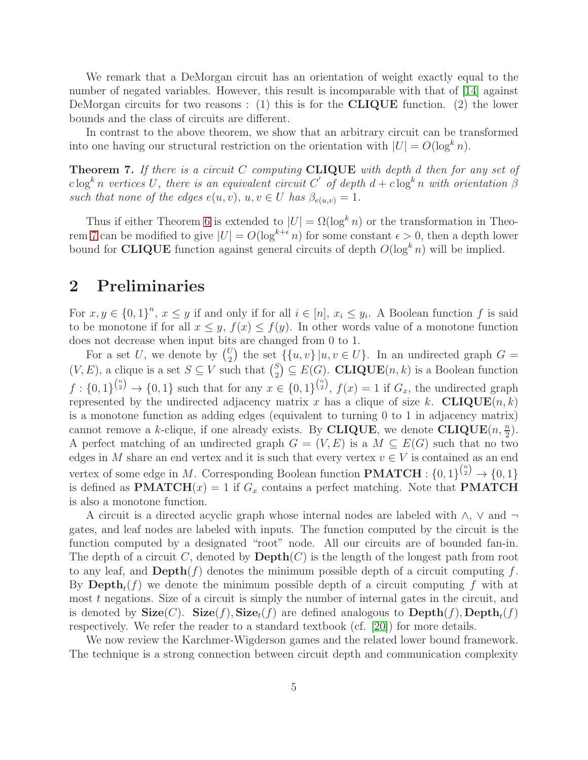We remark that a DeMorgan circuit has an orientation of weight exactly equal to the number of negated variables. However, this result is incomparable with that of [\[14\]](#page-16-13) against DeMorgan circuits for two reasons : (1) this is for the **CLIQUE** function. (2) the lower bounds and the class of circuits are different.

<span id="page-4-0"></span>In contrast to the above theorem, we show that an arbitrary circuit can be transformed into one having our structural restriction on the orientation with  $|U| = O(\log^k n)$ .

Theorem 7. *If there is a circuit* C *computing* CLIQUE *with depth* d *then for any set of*  $c \log^k n$  vertices U, there is an equivalent circuit C' of depth  $d + c \log^k n$  with orientation  $\beta$ *such that none of the edges*  $e(u, v)$ ,  $u, v \in U$  *has*  $\beta_{e(u,v)} = 1$ .

Thus if either Theorem [6](#page-3-0) is extended to  $|U| = \Omega(\log^k n)$  or the transformation in Theo-rem [7](#page-4-0) can be modified to give  $|U| = O(\log^{k+\epsilon} n)$  for some constant  $\epsilon > 0$ , then a depth lower bound for **CLIQUE** function against general circuits of depth  $O(\log^k n)$  will be implied.

## 2 Preliminaries

For  $x, y \in \{0, 1\}^n$ ,  $x \leq y$  if and only if for all  $i \in [n]$ ,  $x_i \leq y_i$ . A Boolean function f is said to be monotone if for all  $x \leq y$ ,  $f(x) \leq f(y)$ . In other words value of a monotone function does not decrease when input bits are changed from 0 to 1.

For a set U, we denote by  $\binom{U}{2}$  $\binom{U}{2}$  the set  $\{\{u, v\} | u, v \in U\}$ . In an undirected graph  $G =$  $(V, E)$ , a clique is a set  $S \subseteq V$  such that  $\binom{S}{2}$  $\binom{S}{2} \subseteq E(G)$ . **CLIQUE** $(n, k)$  is a Boolean function  $f: \{0,1\}^{n \choose 2} \rightarrow \{0,1\}$  such that for any  $x \in \{0,1\}^{n \choose 2}$ ,  $f(x) = 1$  if  $G_x$ , the undirected graph represented by the undirected adjacency matrix x has a clique of size k. CLIQUE $(n, k)$ is a monotone function as adding edges (equivalent to turning 0 to 1 in adjacency matrix) cannot remove a k-clique, if one already exists. By CLIQUE, we denote  $CLIQUE(n, \frac{n}{2})$ . A perfect matching of an undirected graph  $G = (V, E)$  is a  $M \subseteq E(G)$  such that no two edges in M share an end vertex and it is such that every vertex  $v \in V$  is contained as an end vertex of some edge in M. Corresponding Boolean function  $\textbf{PMATCH}: \{0, 1\}^{n \choose 2} \rightarrow \{0, 1\}$ is defined as **PMATCH** $(x) = 1$  if  $G_x$  contains a perfect matching. Note that **PMATCH** is also a monotone function.

A circuit is a directed acyclic graph whose internal nodes are labeled with ∧, ∨ and gates, and leaf nodes are labeled with inputs. The function computed by the circuit is the function computed by a designated "root" node. All our circuits are of bounded fan-in. The depth of a circuit C, denoted by  $\mathbf{Depth}(C)$  is the length of the longest path from root to any leaf, and  $\text{Depth}(f)$  denotes the minimum possible depth of a circuit computing f. By  $\text{Depth}_t(f)$  we denote the minimum possible depth of a circuit computing f with at most  $t$  negations. Size of a circuit is simply the number of internal gates in the circuit, and is denoted by  $\textbf{Size}(C)$ .  $\textbf{Size}(f)$ ,  $\textbf{Size}_t(f)$  are defined analogous to  $\textbf{Depth}(f)$ ,  $\textbf{Depth}_t(f)$ respectively. We refer the reader to a standard textbook (cf. [\[20\]](#page-17-2)) for more details.

We now review the Karchmer-Wigderson games and the related lower bound framework. The technique is a strong connection between circuit depth and communication complexity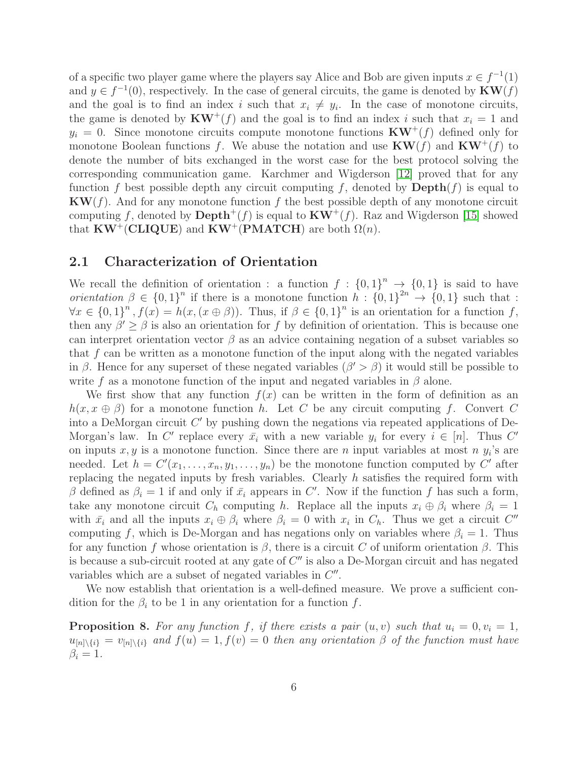of a specific two player game where the players say Alice and Bob are given inputs  $x \in f^{-1}(1)$ and  $y \in f^{-1}(0)$ , respectively. In the case of general circuits, the game is denoted by  $KW(f)$ and the goal is to find an index i such that  $x_i \neq y_i$ . In the case of monotone circuits, the game is denoted by  $KW^+(f)$  and the goal is to find an index i such that  $x_i = 1$  and  $y_i = 0$ . Since monotone circuits compute monotone functions  $KW^+(f)$  defined only for monotone Boolean functions f. We abuse the notation and use  $KW(f)$  and  $KW^+(f)$  to denote the number of bits exchanged in the worst case for the best protocol solving the corresponding communication game. Karchmer and Wigderson [\[12\]](#page-16-1) proved that for any function f best possible depth any circuit computing f, denoted by  $\text{Depth}(f)$  is equal to  $KW(f)$ . And for any monotone function f the best possible depth of any monotone circuit computing f, denoted by  $\text{Depth}^+(f)$  is equal to  $KW^+(f)$ . Raz and Wigderson [\[15\]](#page-16-11) showed that  $KW^{\dagger}(\text{CLIQUE})$  and  $KW^{\dagger}(\text{PMATCH})$  are both  $\Omega(n)$ .

#### 2.1 Characterization of Orientation

We recall the definition of orientation : a function  $f: \{0,1\}^n \to \{0,1\}$  is said to have *orientation*  $\beta \in \{0,1\}^n$  if there is a monotone function  $h: \{0,1\}^{2n} \to \{0,1\}$  such that :  $\forall x \in \{0,1\}^n$ ,  $f(x) = h(x, (x \oplus \beta))$ . Thus, if  $\beta \in \{0,1\}^n$  is an orientation for a function f, then any  $\beta' \geq \beta$  is also an orientation for f by definition of orientation. This is because one can interpret orientation vector  $\beta$  as an advice containing negation of a subset variables so that f can be written as a monotone function of the input along with the negated variables in  $\beta$ . Hence for any superset of these negated variables  $(\beta' > \beta)$  it would still be possible to write f as a monotone function of the input and negated variables in  $\beta$  alone.

We first show that any function  $f(x)$  can be written in the form of definition as an  $h(x, x \oplus \beta)$  for a monotone function h. Let C be any circuit computing f. Convert C into a DeMorgan circuit  $C'$  by pushing down the negations via repeated applications of De-Morgan's law. In C' replace every  $\bar{x}_i$  with a new variable  $y_i$  for every  $i \in [n]$ . Thus C' on inputs  $x, y$  is a monotone function. Since there are n input variables at most n  $y_i$ 's are needed. Let  $h = C'(x_1, \ldots, x_n, y_1, \ldots, y_n)$  be the monotone function computed by C' after replacing the negated inputs by fresh variables. Clearly h satisfies the required form with β defined as  $\beta_i = 1$  if and only if  $\bar{x_i}$  appears in C'. Now if the function f has such a form, take any monotone circuit  $C_h$  computing h. Replace all the inputs  $x_i \oplus \beta_i$  where  $\beta_i = 1$ with  $\bar{x}_i$  and all the inputs  $x_i \oplus \beta_i$  where  $\beta_i = 0$  with  $x_i$  in  $C_h$ . Thus we get a circuit  $C''$ computing f, which is De-Morgan and has negations only on variables where  $\beta_i = 1$ . Thus for any function f whose orientation is  $\beta$ , there is a circuit C of uniform orientation  $\beta$ . This is because a sub-circuit rooted at any gate of  $C''$  is also a De-Morgan circuit and has negated variables which are a subset of negated variables in  $C''$ .

<span id="page-5-0"></span>We now establish that orientation is a well-defined measure. We prove a sufficient condition for the  $\beta_i$  to be 1 in any orientation for a function f.

**Proposition 8.** For any function f, if there exists a pair  $(u, v)$  such that  $u_i = 0, v_i = 1$ ,  $u_{[n]\setminus\{i\}} = v_{[n]\setminus\{i\}}$  and  $f(u) = 1, f(v) = 0$  then any orientation  $\beta$  of the function must have  $\beta_i = 1$ .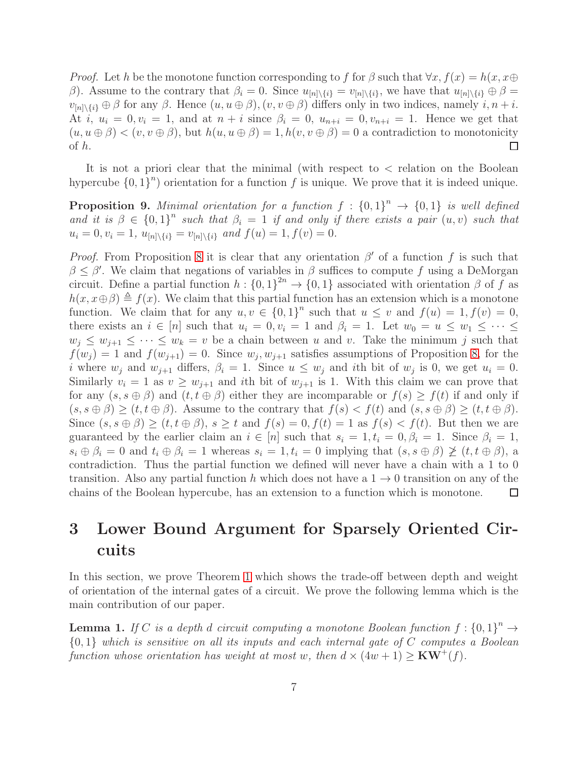*Proof.* Let h be the monotone function corresponding to f for  $\beta$  such that  $\forall x, f(x) = h(x, x \oplus f)$ β). Assume to the contrary that  $\beta_i = 0$ . Since  $u_{[n] \setminus \{i\}} = v_{[n] \setminus \{i\}}$ , we have that  $u_{[n] \setminus \{i\}} \oplus \beta =$  $v_{[n]\setminus\{i\}} \oplus \beta$  for any  $\beta$ . Hence  $(u, u \oplus \beta), (v, v \oplus \beta)$  differs only in two indices, namely  $i, n + i$ . At i,  $u_i = 0, v_i = 1$ , and at  $n + i$  since  $\beta_i = 0, u_{n+i} = 0, v_{n+i} = 1$ . Hence we get that  $(u, u \oplus \beta) < (v, v \oplus \beta)$ , but  $h(u, u \oplus \beta) = 1$ ,  $h(v, v \oplus \beta) = 0$  a contradiction to monotonicity of h.  $\Box$ 

It is not a priori clear that the minimal (with respect to  $\lt$  relation on the Boolean hypercube  ${0, 1}^n$  orientation for a function f is unique. We prove that it is indeed unique.

**Proposition 9.** Minimal orientation for a function  $f : \{0,1\}^n \rightarrow \{0,1\}$  is well defined and it is  $\beta \in \{0,1\}^n$  such that  $\beta_i = 1$  if and only if there exists a pair  $(u, v)$  such that  $u_i = 0, v_i = 1, u_{[n] \setminus \{i\}} = v_{[n] \setminus \{i\}}$  and  $f(u) = 1, f(v) = 0$ .

*Proof.* From Proposition [8](#page-5-0) it is clear that any orientation  $\beta'$  of a function f is such that  $\beta \leq \beta'$ . We claim that negations of variables in  $\beta$  suffices to compute f using a DeMorgan circuit. Define a partial function  $h: \{0,1\}^{2n} \to \{0,1\}$  associated with orientation  $\beta$  of f as  $h(x, x \oplus \beta) \triangleq f(x)$ . We claim that this partial function has an extension which is a monotone function. We claim that for any  $u, v \in \{0, 1\}^n$  such that  $u \leq v$  and  $f(u) = 1, f(v) = 0$ , there exists an  $i \in [n]$  such that  $u_i = 0, v_i = 1$  and  $\beta_i = 1$ . Let  $w_0 = u \leq w_1 \leq \cdots \leq u_i$  $w_i \leq w_{i+1} \leq \cdots \leq w_k = v$  be a chain between u and v. Take the minimum j such that  $f(w_j) = 1$  and  $f(w_{j+1}) = 0$ . Since  $w_j, w_{j+1}$  satisfies assumptions of Proposition [8,](#page-5-0) for the *i* where  $w_j$  and  $w_{j+1}$  differs,  $\beta_i = 1$ . Since  $u \leq w_j$  and *i*th bit of  $w_j$  is 0, we get  $u_i = 0$ . Similarly  $v_i = 1$  as  $v \geq w_{j+1}$  and ith bit of  $w_{j+1}$  is 1. With this claim we can prove that for any  $(s, s \oplus \beta)$  and  $(t, t \oplus \beta)$  either they are incomparable or  $f(s) \geq f(t)$  if and only if  $(s, s \oplus \beta) \ge (t, t \oplus \beta)$ . Assume to the contrary that  $f(s) < f(t)$  and  $(s, s \oplus \beta) \ge (t, t \oplus \beta)$ . Since  $(s, s \oplus \beta) \ge (t, t \oplus \beta), s \ge t$  and  $f(s) = 0, f(t) = 1$  as  $f(s) < f(t)$ . But then we are guaranteed by the earlier claim an  $i \in [n]$  such that  $s_i = 1, t_i = 0, \beta_i = 1$ . Since  $\beta_i = 1$ ,  $s_i \oplus \beta_i = 0$  and  $t_i \oplus \beta_i = 1$  whereas  $s_i = 1, t_i = 0$  implying that  $(s, s \oplus \beta) \not\geq (t, t \oplus \beta)$ , a contradiction. Thus the partial function we defined will never have a chain with a 1 to 0 transition. Also any partial function h which does not have a  $1 \rightarrow 0$  transition on any of the chains of the Boolean hypercube, has an extension to a function which is monotone.  $\Box$ 

# 3 Lower Bound Argument for Sparsely Oriented Circuits

In this section, we prove Theorem [1](#page-2-0) which shows the trade-off between depth and weight of orientation of the internal gates of a circuit. We prove the following lemma which is the main contribution of our paper.

**Lemma 1.** If C is a depth d circuit computing a monotone Boolean function  $f: \{0,1\}^n \rightarrow$ {0, 1} *which is sensitive on all its inputs and each internal gate of* C *computes a Boolean function whose orientation has weight at most* w, then  $d \times (4w + 1) \geq \text{KW}^+(f)$ *.*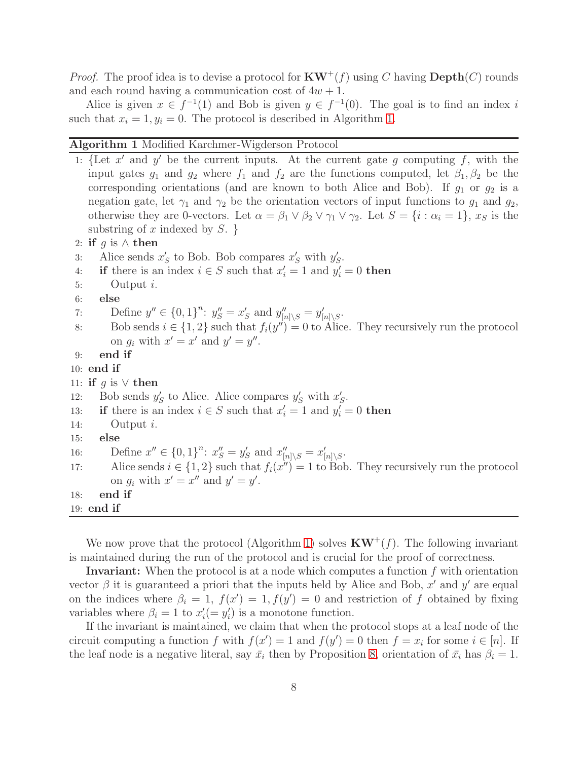*Proof.* The proof idea is to devise a protocol for  $KW^+(f)$  using C having  $Depth(C)$  rounds and each round having a communication cost of  $4w + 1$ .

Alice is given  $x \in f^{-1}(1)$  and Bob is given  $y \in f^{-1}(0)$ . The goal is to find an index i such that  $x_i = 1, y_i = 0$ . The protocol is described in Algorithm [1.](#page-7-0)

#### <span id="page-7-0"></span>Algorithm 1 Modified Karchmer-Wigderson Protocol

<span id="page-7-3"></span><span id="page-7-1"></span>1: {Let  $x'$  and  $y'$  be the current inputs. At the current gate g computing f, with the input gates  $g_1$  and  $g_2$  where  $f_1$  and  $f_2$  are the functions computed, let  $\beta_1, \beta_2$  be the corresponding orientations (and are known to both Alice and Bob). If  $g_1$  or  $g_2$  is a negation gate, let  $\gamma_1$  and  $\gamma_2$  be the orientation vectors of input functions to  $g_1$  and  $g_2$ , otherwise they are 0-vectors. Let  $\alpha = \beta_1 \vee \beta_2 \vee \gamma_1 \vee \gamma_2$ . Let  $S = \{i : \alpha_i = 1\}$ ,  $x_S$  is the substring of x indexed by  $S. \}$ 2: if q is  $\wedge$  then 3: Alice sends  $x'_S$  to Bob. Bob compares  $x'_S$  with  $y'_S$ . 4: if there is an index  $i \in S$  such that  $x'_i = 1$  and  $y'_i = 0$  then 5: Output i. 6: else 7: Define  $y'' \in \{0, 1\}^n$ :  $y''_S = x'_S$  and  $y''_{[n] \setminus S} = y'_{[n] \setminus S}$ . 8: Bob sends  $i \in \{1,2\}$  such that  $f_i(y'') = 0$  to Alice. They recursively run the protocol on  $g_i$  with  $x' = x'$  and  $y' = y''$ . 9: end if 10: end if 11: if g is  $\vee$  then 12: Bob sends  $y'_{S}$  to Alice. Alice compares  $y'_{S}$  with  $x'_{S}$ . 13: if there is an index  $i \in S$  such that  $x'_i = 1$  and  $y'_i = 0$  then 14: Output  $i$ . 15: else 16: Define  $x'' \in \{0, 1\}^n$ :  $x''_S = y'_S$  and  $x''_{[n] \setminus S} = x'_{[n] \setminus S}$ . 17: Alice sends  $i \in \{1,2\}$  such that  $f_i(x'') = 1$  to Bob. They recursively run the protocol on  $g_i$  with  $x' = x''$  and  $y' = y'$ . 18: end if 19: end if

<span id="page-7-2"></span>We now prove that the protocol (Algorithm [1\)](#page-7-0) solves  $KW^+(f)$ . The following invariant is maintained during the run of the protocol and is crucial for the proof of correctness.

**Invariant:** When the protocol is at a node which computes a function  $f$  with orientation vector  $\beta$  it is guaranteed a priori that the inputs held by Alice and Bob, x' and y' are equal on the indices where  $\beta_i = 1$ ,  $f(x') = 1$ ,  $f(y') = 0$  and restriction of f obtained by fixing variables where  $\beta_i = 1$  to  $x'_i(= y'_i)$  is a monotone function.

If the invariant is maintained, we claim that when the protocol stops at a leaf node of the circuit computing a function f with  $f(x') = 1$  and  $f(y') = 0$  then  $f = x_i$  for some  $i \in [n]$ . If the leaf node is a negative literal, say  $\bar{x}_i$  then by Proposition [8,](#page-5-0) orientation of  $\bar{x}_i$  has  $\beta_i = 1$ .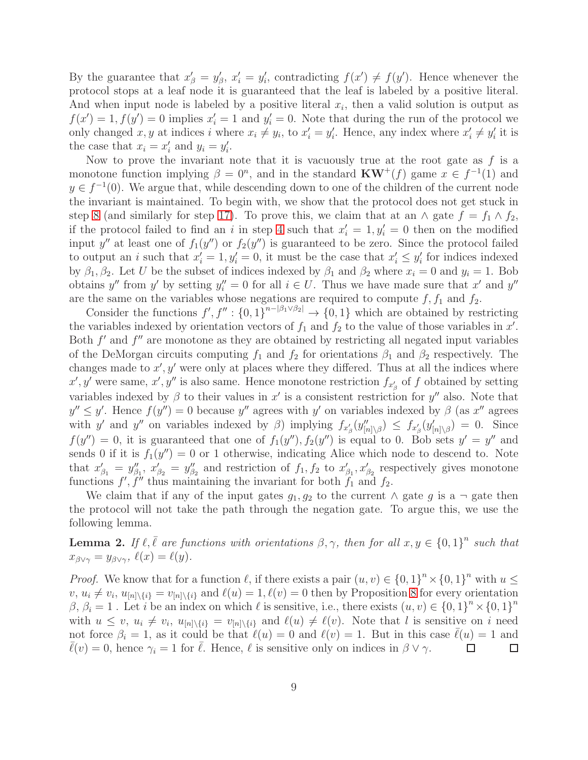By the guarantee that  $x'_\beta = y'_\beta$ ,  $x'_i = y'_i$ , contradicting  $f(x') \neq f(y')$ . Hence whenever the protocol stops at a leaf node it is guaranteed that the leaf is labeled by a positive literal. And when input node is labeled by a positive literal  $x_i$ , then a valid solution is output as  $f(x') = 1, f(y') = 0$  implies  $x'_i = 1$  and  $y'_i = 0$ . Note that during the run of the protocol we only changed x, y at indices i where  $x_i \neq y_i$ , to  $x'_i = y'_i$ . Hence, any index where  $x'_i \neq y'_i$  it is the case that  $x_i = x'_i$  and  $y_i = y'_i$ .

Now to prove the invariant note that it is vacuously true at the root gate as  $f$  is a monotone function implying  $\beta = 0^n$ , and in the standard  $KW^+(f)$  game  $x \in f^{-1}(1)$  and  $y \in f^{-1}(0)$ . We argue that, while descending down to one of the children of the current node the invariant is maintained. To begin with, we show that the protocol does not get stuck in step [8](#page-7-1) (and similarly for step [17\)](#page-7-2). To prove this, we claim that at an  $\wedge$  gate  $f = f_1 \wedge f_2$ , if the protocol failed to find an i in step [4](#page-7-3) such that  $x'_i = 1, y'_i = 0$  then on the modified input y'' at least one of  $f_1(y'')$  or  $f_2(y'')$  is guaranteed to be zero. Since the protocol failed to output an *i* such that  $x'_i = 1, y'_i = 0$ , it must be the case that  $x'_i \leq y'_i$  for indices indexed by  $\beta_1, \beta_2$ . Let U be the subset of indices indexed by  $\beta_1$  and  $\beta_2$  where  $x_i = 0$  and  $y_i = 1$ . Bob obtains y'' from y' by setting  $y_i'' = 0$  for all  $i \in U$ . Thus we have made sure that x' and y'' are the same on the variables whose negations are required to compute  $f, f_1$  and  $f_2$ .

Consider the functions  $f', f'' : \{0,1\}^{n-|\beta_1 \vee \beta_2|} \to \{0,1\}$  which are obtained by restricting the variables indexed by orientation vectors of  $f_1$  and  $f_2$  to the value of those variables in  $x'$ . Both  $f'$  and  $f''$  are monotone as they are obtained by restricting all negated input variables of the DeMorgan circuits computing  $f_1$  and  $f_2$  for orientations  $\beta_1$  and  $\beta_2$  respectively. The changes made to  $x', y'$  were only at places where they differed. Thus at all the indices where  $x', y'$  were same,  $x', y''$  is also same. Hence monotone restriction  $f_{x'_\beta}$  of f obtained by setting variables indexed by  $\beta$  to their values in  $x'$  is a consistent restriction for  $y''$  also. Note that  $y'' \leq y'$ . Hence  $f(y'') = 0$  because y'' agrees with y' on variables indexed by  $\beta$  (as x'' agrees with y' and y'' on variables indexed by  $\beta$ ) implying  $f_{x'_\beta}(y''_{[n]\setminus\beta}) \leq f_{x'_\beta}(y'_{[n]\setminus\beta}) = 0$ . Since  $f(y'') = 0$ , it is guaranteed that one of  $f_1(y'')$ ,  $f_2(y'')$  is equal to 0. Bob sets  $y' = y''$  and sends 0 if it is  $f_1(y'') = 0$  or 1 otherwise, indicating Alice which node to descend to. Note that  $x'_{\beta_1} = y''_{\beta_1}$ ,  $x'_{\beta_2} = y''_{\beta_2}$  and restriction of  $f_1, f_2$  to  $x'_{\beta_1}, x'_{\beta_2}$  respectively gives monotone functions  $f', f''$  thus maintaining the invariant for both  $f_1$  and  $f_2$ .

We claim that if any of the input gates  $g_1, g_2$  to the current  $\wedge$  gate g is a  $\neg$  gate then the protocol will not take the path through the negation gate. To argue this, we use the following lemma.

<span id="page-8-0"></span>**Lemma 2.** If  $\ell, \overline{\ell}$  are functions with orientations  $\beta, \gamma$ , then for all  $x, y \in \{0, 1\}^n$  such that  $x_{\beta\vee\gamma} = y_{\beta\vee\gamma}, \ell(x) = \ell(y).$ 

*Proof.* We know that for a function  $\ell$ , if there exists a pair  $(u, v) \in \{0, 1\}^n \times \{0, 1\}^n$  with  $u \leq$  $v, u_i \neq v_i, u_{[n]\setminus\{i\}} = v_{[n]\setminus\{i\}}$  and  $\ell(u) = 1, \ell(v) = 0$  then by Proposition [8](#page-5-0) for every orientation  $\beta, \beta_i = 1$ . Let i be an index on which  $\ell$  is sensitive, i.e., there exists  $(u, v) \in \{0, 1\}^n \times \{0, 1\}^n$ with  $u \leq v$ ,  $u_i \neq v_i$ ,  $u_{[n] \setminus \{i\}} = v_{[n] \setminus \{i\}}$  and  $\ell(u) \neq \ell(v)$ . Note that l is sensitive on i need not force  $\beta_i = 1$ , as it could be that  $\ell(u) = 0$  and  $\ell(v) = 1$ . But in this case  $\ell(u) = 1$  and  $\overline{\ell}(v) = 0$ , hence  $\gamma_i = 1$  for  $\overline{\ell}$ . Hence,  $\ell$  is sensitive only on indices in  $\beta \vee \gamma$ . □  $\Box$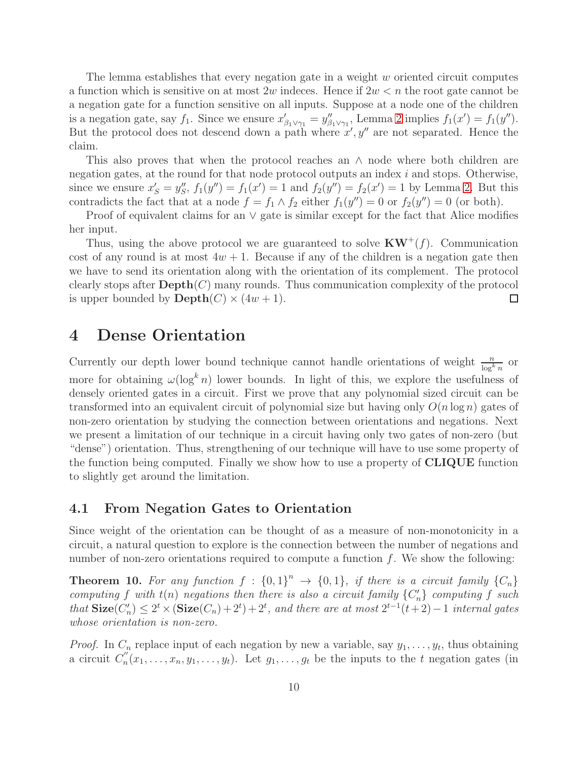The lemma establishes that every negation gate in a weight  $w$  oriented circuit computes a function which is sensitive on at most 2w indeces. Hence if  $2w < n$  the root gate cannot be a negation gate for a function sensitive on all inputs. Suppose at a node one of the children is a negation gate, say  $f_1$ . Since we ensure  $x'_{\beta_1 \vee \gamma_1} = y''_{\beta_1 \vee \gamma_1}$ , Lemma [2](#page-8-0) implies  $f_1(x') = f_1(y'')$ . But the protocol does not descend down a path where  $x', y''$  are not separated. Hence the claim.

This also proves that when the protocol reaches an  $\land$  node where both children are negation gates, at the round for that node protocol outputs an index  $i$  and stops. Otherwise, since we ensure  $x'_{S} = y''_{S}$ ,  $f_1(y'') = f_1(x') = 1$  and  $f_2(y'') = f_2(x') = 1$  by Lemma [2.](#page-8-0) But this contradicts the fact that at a node  $f = f_1 \wedge f_2$  either  $f_1(y'') = 0$  or  $f_2(y'') = 0$  (or both).

Proof of equivalent claims for an ∨ gate is similar except for the fact that Alice modifies her input.

Thus, using the above protocol we are guaranteed to solve  $KW^+(f)$ . Communication cost of any round is at most  $4w + 1$ . Because if any of the children is a negation gate then we have to send its orientation along with the orientation of its complement. The protocol clearly stops after  $\text{Depth}(C)$  many rounds. Thus communication complexity of the protocol is upper bounded by  $\text{Depth}(C) \times (4w+1)$ . □

### 4 Dense Orientation

Currently our depth lower bound technique cannot handle orientations of weight  $\frac{n}{\log^k n}$  or more for obtaining  $\omega(\log^k n)$  lower bounds. In light of this, we explore the usefulness of densely oriented gates in a circuit. First we prove that any polynomial sized circuit can be transformed into an equivalent circuit of polynomial size but having only  $O(n \log n)$  gates of non-zero orientation by studying the connection between orientations and negations. Next we present a limitation of our technique in a circuit having only two gates of non-zero (but "dense") orientation. Thus, strengthening of our technique will have to use some property of the function being computed. Finally we show how to use a property of CLIQUE function to slightly get around the limitation.

#### 4.1 From Negation Gates to Orientation

Since weight of the orientation can be thought of as a measure of non-monotonicity in a circuit, a natural question to explore is the connection between the number of negations and number of non-zero orientations required to compute a function  $f$ . We show the following:

**Theorem 10.** For any function  $f : \{0,1\}^n \rightarrow \{0,1\}$ , if there is a circuit family  $\{C_n\}$ *computing* f with  $t(n)$  *negations then there is also a circuit family*  ${C'_n}$  *computing* f *such that*  $\textbf{Size}(C'_n)$  ≤  $2^t$  ×  $(\textbf{Size}(C_n) + 2^t) + 2^t$ , and there are at most  $2^{t-1}(t+2) - 1$  *internal gates whose orientation is non-zero.*

*Proof.* In  $C_n$  replace input of each negation by new a variable, say  $y_1, \ldots, y_t$ , thus obtaining a circuit  $C_n''$  $x_n''(x_1,\ldots,x_n,y_1,\ldots,y_t)$ . Let  $g_1,\ldots,g_t$  be the inputs to the t negation gates (in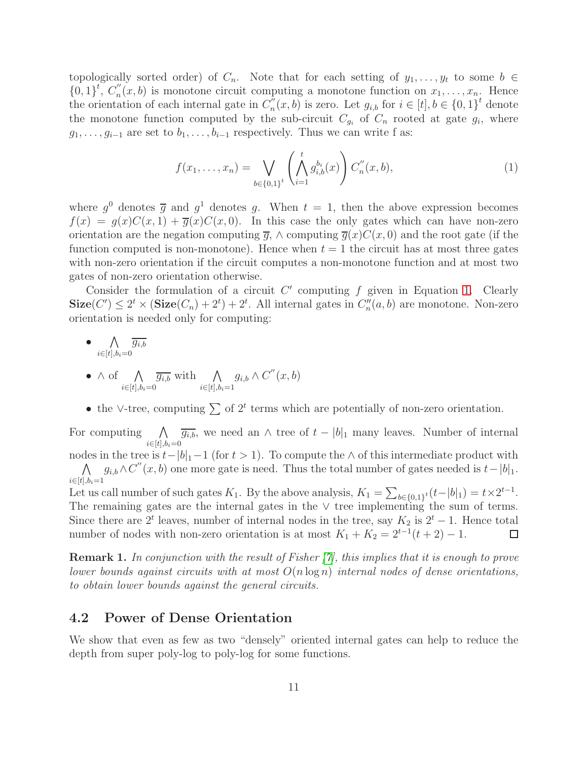topologically sorted order) of  $C_n$ . Note that for each setting of  $y_1, \ldots, y_t$  to some  $b \in$  $\{0,1\}^t$ ,  $C_n''$  $u_n(x, b)$  is monotone circuit computing a monotone function on  $x_1, \ldots, x_n$ . Hence the orientation of each internal gate in  $C_n''$  $u_n''(x, b)$  is zero. Let  $g_{i,b}$  for  $i \in [t], b \in \{0, 1\}^t$  denote the monotone function computed by the sub-circuit  $C_{g_i}$  of  $C_n$  rooted at gate  $g_i$ , where  $g_1, \ldots, g_{i-1}$  are set to  $b_1, \ldots, b_{i-1}$  respectively. Thus we can write f as:

<span id="page-10-1"></span>
$$
f(x_1, \ldots, x_n) = \bigvee_{b \in \{0,1\}^t} \left( \bigwedge_{i=1}^t g_{i,b}^{b_i}(x) \right) C_n''(x, b), \tag{1}
$$

where  $g^0$  denotes  $\overline{g}$  and  $g^1$  denotes g. When  $t = 1$ , then the above expression becomes  $f(x) = g(x)C(x, 1) + \overline{g}(x)C(x, 0)$ . In this case the only gates which can have non-zero orientation are the negation computing  $\overline{g}$ ,  $\wedge$  computing  $\overline{g}(x)C(x, 0)$  and the root gate (if the function computed is non-monotone). Hence when  $t = 1$  the circuit has at most three gates with non-zero orientation if the circuit computes a non-monotone function and at most two gates of non-zero orientation otherwise.

Consider the formulation of a circuit  $C'$  computing  $f$  given in Equation [1.](#page-10-1) Clearly  $\textbf{Size}(C') \leq 2^t \times (\textbf{Size}(C_n) + 2^t) + 2^t$ . All internal gates in  $C''_n(a, b)$  are monotone. Non-zero orientation is needed only for computing:

$$
\bullet \ \bigwedge_{i \in [t], b_i = 0} \overline{g_{i,b}}
$$

- $\wedge$  of  $\wedge$  $i \in [t], b_i = 0$  $\overline{g_{i,b}}$  with  $\Lambda$  $i \in [t], b_i = 1$  $g_{i,b} \wedge C''(x,b)$
- the ∨-tree, computing  $\sum$  of  $2^t$  terms which are potentially of non-zero orientation.

For computing  $\bigwedge \overline{g_{i,b}}$ , we need an  $\wedge$  tree of  $t - |b|_1$  many leaves. Number of internal  $i \in [t], b_i = 0$ 

nodes in the tree is  $t-|b|_1-1$  (for  $t > 1$ ). To compute the ∧ of this intermediate product with  $\wedge$  $i \in [t], b_i = 1$  $g_{i,b} \wedge C''(x, b)$  one more gate is need. Thus the total number of gates needed is  $t-|b|_1$ .

Let us call number of such gates  $K_1$ . By the above analysis,  $K_1 = \sum_{b \in \{0,1\}^t} (t-|b|_1) = t \times 2^{t-1}$ . The remaining gates are the internal gates in the ∨ tree implementing the sum of terms. Since there are  $2<sup>t</sup>$  leaves, number of internal nodes in the tree, say  $K_2$  is  $2<sup>t</sup> - 1$ . Hence total number of nodes with non-zero orientation is at most  $K_1 + K_2 = 2^{t-1}(t+2) - 1$ .  $\Box$ 

Remark 1. *In conjunction with the result of Fisher [\[7\]](#page-16-9), this implies that it is enough to prove lower bounds against circuits with at most* O(n log n) *internal nodes of dense orientations, to obtain lower bounds against the general circuits.*

### 4.2 Power of Dense Orientation

<span id="page-10-0"></span>We show that even as few as two "densely" oriented internal gates can help to reduce the depth from super poly-log to poly-log for some functions.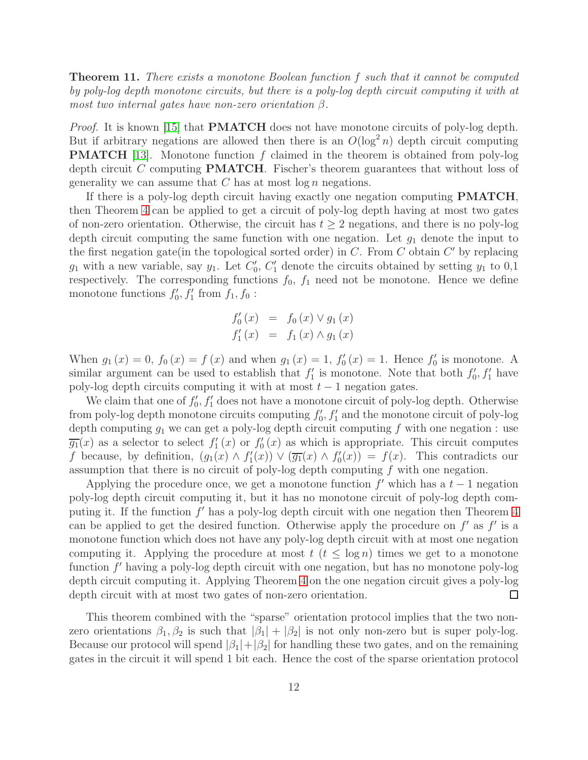Theorem 11. *There exists a monotone Boolean function* f *such that it cannot be computed by poly-log depth monotone circuits, but there is a poly-log depth circuit computing it with at most two internal gates have non-zero orientation* β*.*

*Proof.* It is known [\[15\]](#page-16-11) that **PMATCH** does not have monotone circuits of poly-log depth. But if arbitrary negations are allowed then there is an  $O(\log^2 n)$  depth circuit computing **PMATCH** [\[13\]](#page-16-12). Monotone function f claimed in the theorem is obtained from poly-log depth circuit C computing PMATCH. Fischer's theorem guarantees that without loss of generality we can assume that  $C$  has at most  $\log n$  negations.

If there is a poly-log depth circuit having exactly one negation computing **PMATCH**, then Theorem [4](#page-3-1) can be applied to get a circuit of poly-log depth having at most two gates of non-zero orientation. Otherwise, the circuit has  $t \geq 2$  negations, and there is no poly-log depth circuit computing the same function with one negation. Let  $g_1$  denote the input to the first negation gate (in the topological sorted order) in  $C$ . From  $C$  obtain  $C'$  by replacing  $g_1$  with a new variable, say  $y_1$ . Let  $C'_0$ ,  $C'_1$  denote the circuits obtained by setting  $y_1$  to 0,1 respectively. The corresponding functions  $f_0$ ,  $f_1$  need not be monotone. Hence we define monotone functions  $f'_0, f'_1$  from  $f_1, f_0$ :

$$
f_0'(x) = f_0(x) \vee g_1(x)
$$
  

$$
f_1'(x) = f_1(x) \wedge g_1(x)
$$

When  $g_1(x) = 0$ ,  $f_0(x) = f(x)$  and when  $g_1(x) = 1$ ,  $f'_0(x) = 1$ . Hence  $f'_0$  is monotone. A similar argument can be used to establish that  $f'_1$  is monotone. Note that both  $f'_0, f'_1$  have poly-log depth circuits computing it with at most  $t - 1$  negation gates.

We claim that one of  $f'_0, f'_1$  does not have a monotone circuit of poly-log depth. Otherwise from poly-log depth monotone circuits computing  $f'_0, f'_1$  and the monotone circuit of poly-log depth computing  $g_1$  we can get a poly-log depth circuit computing f with one negation : use  $\overline{g_1}(x)$  as a selector to select  $f'_1(x)$  or  $f'_0(x)$  as which is appropriate. This circuit computes f because, by definition,  $(g_1(x) \wedge f'_1(x)) \vee (\overline{g_1}(x) \wedge f'_0(x)) = f(x)$ . This contradicts our assumption that there is no circuit of poly-log depth computing f with one negation.

Applying the procedure once, we get a monotone function  $f'$  which has a  $t-1$  negation poly-log depth circuit computing it, but it has no monotone circuit of poly-log depth computing it. If the function  $f'$  has a poly-log depth circuit with one negation then Theorem [4](#page-3-1) can be applied to get the desired function. Otherwise apply the procedure on  $f'$  as  $f'$  is a monotone function which does not have any poly-log depth circuit with at most one negation computing it. Applying the procedure at most  $t$   $(t \leq \log n)$  times we get to a monotone function f' having a poly-log depth circuit with one negation, but has no monotone poly-log depth circuit computing it. Applying Theorem [4](#page-3-1) on the one negation circuit gives a poly-log depth circuit with at most two gates of non-zero orientation.  $\Box$ 

This theorem combined with the "sparse" orientation protocol implies that the two nonzero orientations  $\beta_1, \beta_2$  is such that  $|\beta_1| + |\beta_2|$  is not only non-zero but is super poly-log. Because our protocol will spend  $|\beta_1|+|\beta_2|$  for handling these two gates, and on the remaining gates in the circuit it will spend 1 bit each. Hence the cost of the sparse orientation protocol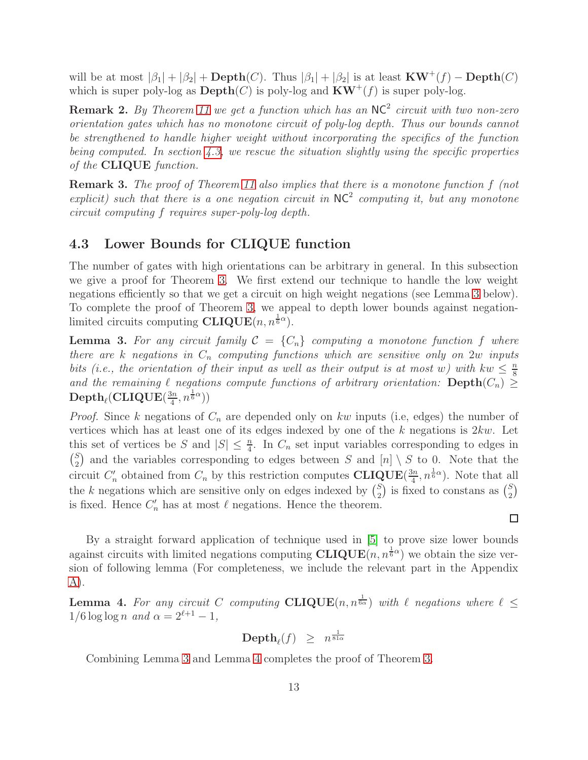will be at most  $|\beta_1| + |\beta_2| + \text{Depth}(C)$ . Thus  $|\beta_1| + |\beta_2|$  is at least  $KW^+(f) - \text{Depth}(C)$ which is super poly-log as  $\text{Depth}(C)$  is poly-log and  $KW^+(f)$  is super poly-log.

Remark 2. *By Theorem [11](#page-10-0) we get a function which has an* NC<sup>2</sup> *circuit with two non-zero orientation gates which has no monotone circuit of poly-log depth. Thus our bounds cannot be strengthened to handle higher weight without incorporating the specifics of the function being computed. In section [4.3,](#page-12-0) we rescue the situation slightly using the specific properties of the* CLIQUE *function.*

Remark 3. *The proof of Theorem [11](#page-10-0) also implies that there is a monotone function* f *(not* explicit) such that there is a one negation circuit in  $NC^2$  computing it, but any monotone *circuit computing* f *requires super-poly-log depth.*

### <span id="page-12-0"></span>4.3 Lower Bounds for CLIQUE function

The number of gates with high orientations can be arbitrary in general. In this subsection we give a proof for Theorem [3.](#page-3-2) We first extend our technique to handle the low weight negations efficiently so that we get a circuit on high weight negations (see Lemma [3](#page-12-1) below). To complete the proof of Theorem [3,](#page-3-2) we appeal to depth lower bounds against negationlimited circuits computing  $\text{CLIQUE}(n, n^{\frac{1}{6}\alpha})$ .

<span id="page-12-1"></span>**Lemma 3.** For any circuit family  $C = \{C_n\}$  computing a monotone function f where *there are* k *negations in*  $C_n$  *computing functions which are sensitive only on* 2w *inputs bits (i.e., the orientation of their input as well as their output is at most* w) with  $kw \leq \frac{n}{8}$ 8 *and the remaining*  $\ell$  *negations compute functions of arbitrary orientation:* Depth $(C_n)$  ≥  $\mathrm{Depth}_\ell(\mathrm{CLIQUE}(\frac{3n}{4}$  $\frac{3n}{4}, n^{\frac{1}{6}\alpha})$ 

*Proof.* Since k negations of  $C_n$  are depended only on kw inputs (i.e, edges) the number of vertices which has at least one of its edges indexed by one of the  $k$  negations is  $2kw$ . Let this set of vertices be S and  $|S| \leq \frac{n}{4}$ . In  $C_n$  set input variables corresponding to edges in  $\binom{S}{2}$  $\binom{S}{2}$  and the variables corresponding to edges between S and  $[n] \setminus S$  to 0. Note that the circuit  $C'_n$  obtained from  $C_n$  by this restriction computes CLIQUE( $\frac{3n}{4}$ )  $(\frac{3n}{4}, n^{\frac{1}{6}\alpha})$ . Note that all the k negations which are sensitive only on edges indexed by  $\binom{S}{2}$  $_{2}^{S}$ ) is fixed to constans as  $_{2}^{S}$  ${S \choose 2}$ is fixed. Hence  $C'_n$  has at most  $\ell$  negations. Hence the theorem.

By a straight forward application of technique used in [\[5\]](#page-16-0) to prove size lower bounds against circuits with limited negations computing  $CLIQUE(n, n^{\frac{1}{6}\alpha})$  we obtain the size version of following lemma (For completeness, we include the relevant part in the Appendix [A\)](#page-18-0).

 $\Box$ 

<span id="page-12-2"></span>**Lemma 4.** For any circuit C computing  $CLIQUE(n, n^{\frac{1}{6\alpha}})$  with  $\ell$  negations where  $\ell \leq$  $1/6 \log \log n$  *and*  $\alpha = 2^{\ell+1} - 1$ ,

$$
\text{Depth}_\ell(f) \ \geq \ n^{\frac{1}{81\alpha}}
$$

Combining Lemma [3](#page-12-1) and Lemma [4](#page-12-2) completes the proof of Theorem [3.](#page-3-2)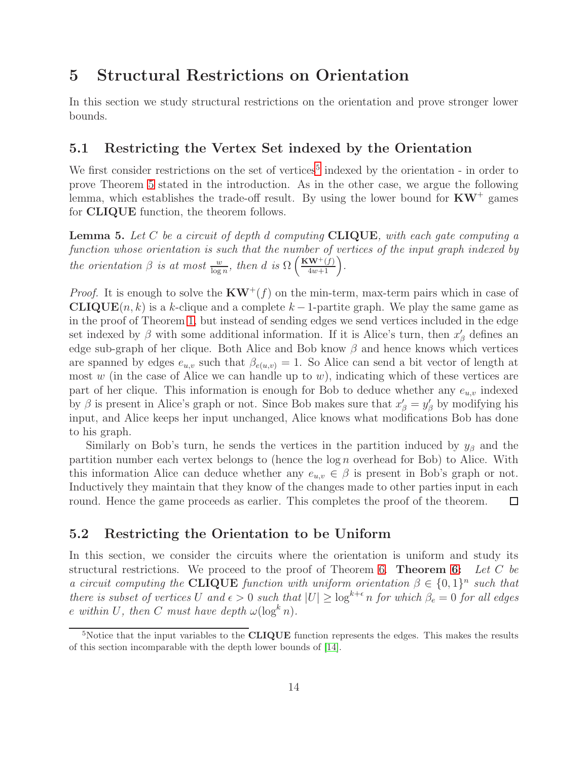# 5 Structural Restrictions on Orientation

In this section we study structural restrictions on the orientation and prove stronger lower bounds.

### 5.1 Restricting the Vertex Set indexed by the Orientation

We first consider restrictions on the set of vertices<sup>5</sup> indexed by the orientation - in order to prove Theorem [5](#page-3-3) stated in the introduction. As in the other case, we argue the following lemma, which establishes the trade-off result. By using the lower bound for  $KW^+$  games for CLIQUE function, the theorem follows.

Lemma 5. *Let* C *be a circuit of depth* d *computing* CLIQUE*, with each gate computing a function whose orientation is such that the number of vertices of the input graph indexed by the orientation*  $\beta$  *is at most*  $\frac{w}{\log n}$ *, then d is*  $\Omega\left(\frac{KW^+(f)}{4w+1}\right)$ *.* 

*Proof.* It is enough to solve the  $KW^+(f)$  on the min-term, max-term pairs which in case of **CLIQUE** $(n, k)$  is a k-clique and a complete  $k - 1$ -partite graph. We play the same game as in the proof of Theorem [1,](#page-2-0) but instead of sending edges we send vertices included in the edge set indexed by  $\beta$  with some additional information. If it is Alice's turn, then  $x'_{\beta}$  defines an edge sub-graph of her clique. Both Alice and Bob know  $\beta$  and hence knows which vertices are spanned by edges  $e_{u,v}$  such that  $\beta_{e(u,v)} = 1$ . So Alice can send a bit vector of length at most  $w$  (in the case of Alice we can handle up to  $w$ ), indicating which of these vertices are part of her clique. This information is enough for Bob to deduce whether any  $e_{u,v}$  indexed by  $\beta$  is present in Alice's graph or not. Since Bob makes sure that  $x'_{\beta} = y'_{\beta}$  by modifying his input, and Alice keeps her input unchanged, Alice knows what modifications Bob has done to his graph.

Similarly on Bob's turn, he sends the vertices in the partition induced by  $y_\beta$  and the partition number each vertex belongs to (hence the log n overhead for Bob) to Alice. With this information Alice can deduce whether any  $e_{u,v} \in \beta$  is present in Bob's graph or not. Inductively they maintain that they know of the changes made to other parties input in each round. Hence the game proceeds as earlier. This completes the proof of the theorem.  $\Box$ 

#### 5.2 Restricting the Orientation to be Uniform

In this section, we consider the circuits where the orientation is uniform and study its structural restrictions. We proceed to the proof of Theorem [6.](#page-3-0) Theorem [6:](#page-3-0) *Let* C *be a circuit computing the* **CLIQUE** *function with uniform orientation*  $\beta \in \{0,1\}^n$  *such that there is subset of vertices* U *and*  $\epsilon > 0$  *such that*  $|U| \geq \log^{k+\epsilon} n$  *for which*  $\beta_e = 0$  *for all edges* e within U, then C must have depth  $\omega(\log^k n)$ .

<sup>&</sup>lt;sup>5</sup>Notice that the input variables to the **CLIQUE** function represents the edges. This makes the results of this section incomparable with the depth lower bounds of [\[14\]](#page-16-13).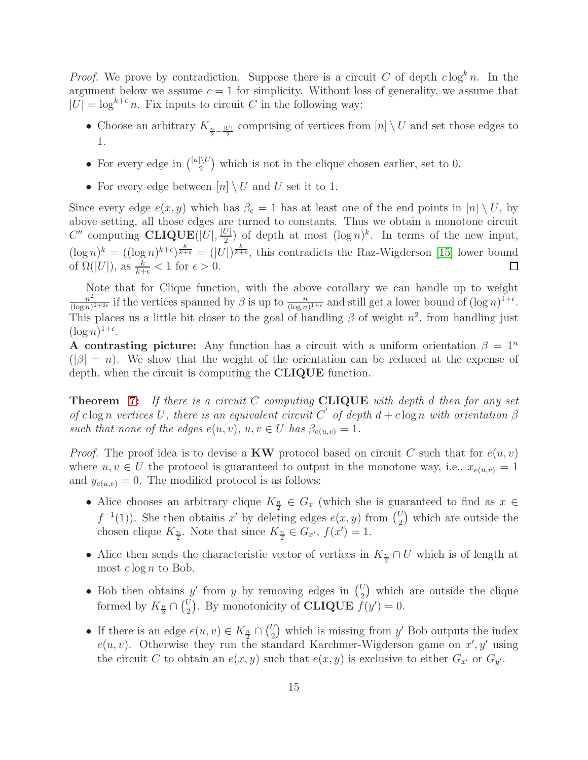*Proof.* We prove by contradiction. Suppose there is a circuit C of depth  $c \log^k n$ . In the argument below we assume  $c = 1$  for simplicity. Without loss of generality, we assume that  $|U| = \log^{k+\epsilon} n$ . Fix inputs to circuit C in the following way:

- Choose an arbitrary  $K_{\frac{n}{2}-\frac{|U|}{2}}$  comprising of vertices from  $[n] \setminus U$  and set those edges to 1.
- For every edge in  $\binom{[n]\setminus U}{2}$  $\binom{10}{2}$  which is not in the clique chosen earlier, set to 0.
- For every edge between  $[n] \setminus U$  and U set it to 1.

Since every edge  $e(x, y)$  which has  $\beta_e = 1$  has at least one of the end points in  $[n] \setminus U$ , by above setting, all those edges are turned to constants. Thus we obtain a monotone circuit  $C''$  computing **CLIQUE**(|U|,  $\frac{|U|}{2}$  $\frac{U|}{2}$ ) of depth at most  $(\log n)^k$ . In terms of the new input,  $(\log n)^k = ((\log n)^{k+\epsilon})^{\frac{k}{k+\epsilon}} = (|U|)^{\frac{k}{k+\epsilon}}$ , this contradicts the Raz-Wigderson [\[15\]](#page-16-11) lower bound of  $\Omega(|U|)$ , as  $\frac{k}{k+\epsilon} < 1$  for  $\epsilon > 0$ .  $\Box$ 

Note that for Clique function, with the above corollary we can handle up to weight  $n^2$  $\frac{n^2}{(\log n)^{2+2\epsilon}}$  if the vertices spanned by  $\beta$  is up to  $\frac{n}{(\log n)^{1+\epsilon}}$  and still get a lower bound of  $(\log n)^{1+\epsilon}$ . This places us a little bit closer to the goal of handling  $\beta$  of weight  $n^2$ , from handling just  $(\log n)^{1+\epsilon}.$ 

A contrasting picture: Any function has a circuit with a uniform orientation  $\beta = 1^n$  $(|\beta| = n)$ . We show that the weight of the orientation can be reduced at the expense of depth, when the circuit is computing the CLIQUE function.

Theorem [7:](#page-4-0) *If there is a circuit* C *computing* CLIQUE *with depth* d *then for any set of* clog n *vertices* U, there is an equivalent circuit C' of depth  $d + c \log n$  with orientation  $\beta$ *such that none of the edges*  $e(u, v)$ ,  $u, v \in U$  *has*  $\beta_{e(u,v)} = 1$ .

*Proof.* The proof idea is to devise a KW protocol based on circuit C such that for  $e(u, v)$ where  $u, v \in U$  the protocol is guaranteed to output in the monotone way, i.e.,  $x_{e(u,v)} = 1$ and  $y_{e(u,v)} = 0$ . The modified protocol is as follows:

- Alice chooses an arbitrary clique  $K_{\frac{n}{2}} \in G_x$  (which she is guaranteed to find as  $x \in$  $f^{-1}(1)$ ). She then obtains x' by deleting edges  $e(x, y)$  from  $\binom{U}{2}$  $\binom{U}{2}$  which are outside the chosen clique  $K_{\frac{n}{2}}$ . Note that since  $K_{\frac{n}{2}} \in G_{x'}$ ,  $f(x') = 1$ .
- Alice then sends the characteristic vector of vertices in  $K_{\frac{n}{2}} \cap U$  which is of length at most  $c \log n$  to Bob.
- Bob then obtains y' from y by removing edges in  $\binom{U}{2}$  $\binom{U}{2}$  which are outside the clique formed by  $K_{\frac{n}{2}} \cap {U \choose 2}$  $\mathcal{L}_2^U$ ). By monotonicity of **CLIQUE**  $f(y') = 0$ .
- If there is an edge  $e(u, v) \in K_{\frac{n}{2}} \cap {U \choose 2}$  $\binom{U}{2}$  which is missing from y' Bob outputs the index  $e(u, v)$ . Otherwise they run the standard Karchmer-Wigderson game on  $x', y'$  using the circuit C to obtain an  $e(x, y)$  such that  $e(x, y)$  is exclusive to either  $G_{x'}$  or  $G_{y'}$ .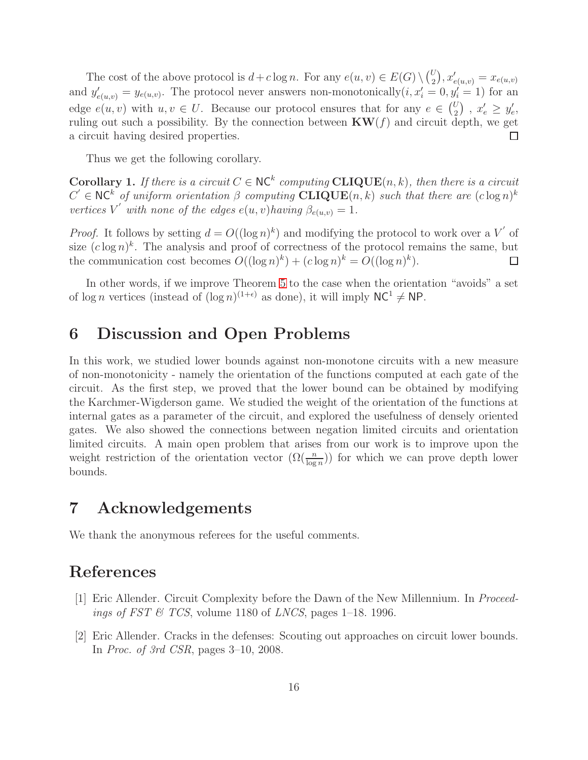The cost of the above protocol is  $d + c \log n$ . For any  $e(u, v) \in E(G) \setminus {U_q \choose 2}$  $\binom{U}{2}, x'_{e(u,v)} = x_{e(u,v)}$ and  $y'_{e(u,v)} = y_{e(u,v)}$ . The protocol never answers non-monotonically  $(i, x'_i = 0, y'_i = 1)$  for an edge  $e(u, v)$  with  $u, v \in U$ . Because our protocol ensures that for any  $e \in {U \choose 2}$  $x'_{e} \geq y'_{e}$ ruling out such a possibility. By the connection between  $KW(f)$  and circuit depth, we get a circuit having desired properties.  $\Box$ 

Thus we get the following corollary.

**Corollary 1.** If there is a circuit  $C \in \text{NC}^k$  computing  $CLIQUE(n, k)$ , then there is a circuit  $C' \in NC^k$  of uniform orientation  $\beta$  computing  $CLIQUE(n, k)$  such that there are  $(c \log n)^k$ *vertices*  $V'$  *with none of the edges*  $e(u, v)$ *having*  $\beta_{e(u,v)} = 1$ *.* 

*Proof.* It follows by setting  $d = O((\log n)^k)$  and modifying the protocol to work over a V' of size  $(c \log n)^k$ . The analysis and proof of correctness of the protocol remains the same, but the communication cost becomes  $O((\log n)^k) + (c \log n)^k = O((\log n)^k)$ .  $\Box$ 

In other words, if we improve Theorem [5](#page-3-3) to the case when the orientation "avoids" a set of  $\log n$  vertices (instead of  $(\log n)^{(1+\epsilon)}$  as done), it will imply  $NC^1 \neq NP$ .

### 6 Discussion and Open Problems

In this work, we studied lower bounds against non-monotone circuits with a new measure of non-monotonicity - namely the orientation of the functions computed at each gate of the circuit. As the first step, we proved that the lower bound can be obtained by modifying the Karchmer-Wigderson game. We studied the weight of the orientation of the functions at internal gates as a parameter of the circuit, and explored the usefulness of densely oriented gates. We also showed the connections between negation limited circuits and orientation limited circuits. A main open problem that arises from our work is to improve upon the weight restriction of the orientation vector  $(\Omega(\frac{n}{\log n}))$  for which we can prove depth lower bounds.

### 7 Acknowledgements

We thank the anonymous referees for the useful comments.

# <span id="page-15-0"></span>References

- <span id="page-15-1"></span>[1] Eric Allender. Circuit Complexity before the Dawn of the New Millennium. In *Proceedings of FST & TCS*, volume 1180 of *LNCS*, pages 1–18. 1996.
- [2] Eric Allender. Cracks in the defenses: Scouting out approaches on circuit lower bounds. In *Proc. of 3rd CSR*, pages 3–10, 2008.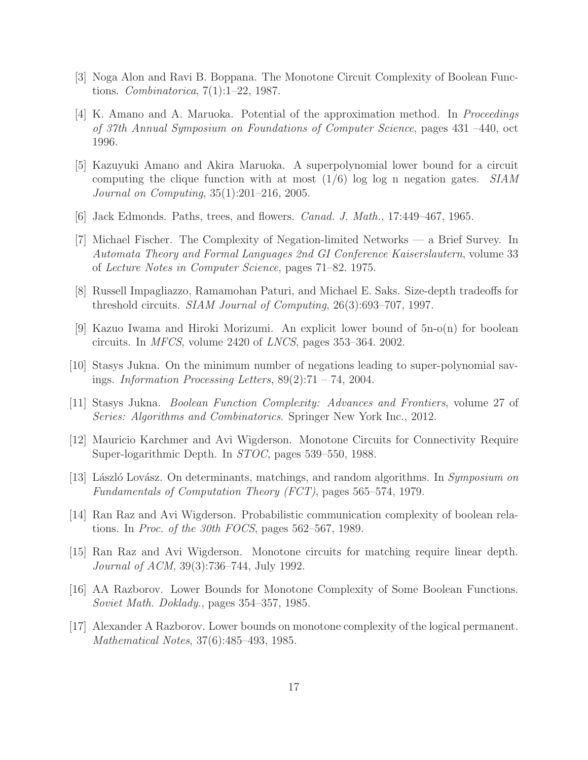- <span id="page-16-14"></span><span id="page-16-6"></span>[3] Noga Alon and Ravi B. Boppana. The Monotone Circuit Complexity of Boolean Functions. *Combinatorica*, 7(1):1–22, 1987.
- [4] K. Amano and A. Maruoka. Potential of the approximation method. In *Proceedings of 37th Annual Symposium on Foundations of Computer Science*, pages 431 –440, oct 1996.
- <span id="page-16-0"></span>[5] Kazuyuki Amano and Akira Maruoka. A superpolynomial lower bound for a circuit computing the clique function with at most (1/6) log log n negation gates. *SIAM Journal on Computing*, 35(1):201–216, 2005.
- <span id="page-16-9"></span><span id="page-16-8"></span>[6] Jack Edmonds. Paths, trees, and flowers. *Canad. J. Math.*, 17:449–467, 1965.
- [7] Michael Fischer. The Complexity of Negation-limited Networks a Brief Survey. In *Automata Theory and Formal Languages 2nd GI Conference Kaiserslautern*, volume 33 of *Lecture Notes in Computer Science*, pages 71–82. 1975.
- <span id="page-16-3"></span><span id="page-16-2"></span>[8] Russell Impagliazzo, Ramamohan Paturi, and Michael E. Saks. Size-depth tradeoffs for threshold circuits. *SIAM Journal of Computing*, 26(3):693–707, 1997.
- <span id="page-16-10"></span>[9] Kazuo Iwama and Hiroki Morizumi. An explicit lower bound of 5n-o(n) for boolean circuits. In *MFCS*, volume 2420 of *LNCS*, pages 353–364. 2002.
- <span id="page-16-4"></span>[10] Stasys Jukna. On the minimum number of negations leading to super-polynomial savings. *Information Processing Letters*, 89(2):71 – 74, 2004.
- <span id="page-16-1"></span>[11] Stasys Jukna. *Boolean Function Complexity: Advances and Frontiers*, volume 27 of *Series: Algorithms and Combinatorics*. Springer New York Inc., 2012.
- <span id="page-16-12"></span>[12] Mauricio Karchmer and Avi Wigderson. Monotone Circuits for Connectivity Require Super-logarithmic Depth. In *STOC*, pages 539–550, 1988.
- [13] László Lovász. On determinants, matchings, and random algorithms. In *Symposium on Fundamentals of Computation Theory (FCT)*, pages 565–574, 1979.
- <span id="page-16-13"></span><span id="page-16-11"></span>[14] Ran Raz and Avi Wigderson. Probabilistic communication complexity of boolean relations. In *Proc. of the 30th FOCS*, pages 562–567, 1989.
- [15] Ran Raz and Avi Wigderson. Monotone circuits for matching require linear depth. *Journal of ACM*, 39(3):736–744, July 1992.
- <span id="page-16-7"></span><span id="page-16-5"></span>[16] AA Razborov. Lower Bounds for Monotone Complexity of Some Boolean Functions. *Soviet Math. Doklady.*, pages 354–357, 1985.
- [17] Alexander A Razborov. Lower bounds on monotone complexity of the logical permanent. *Mathematical Notes*, 37(6):485–493, 1985.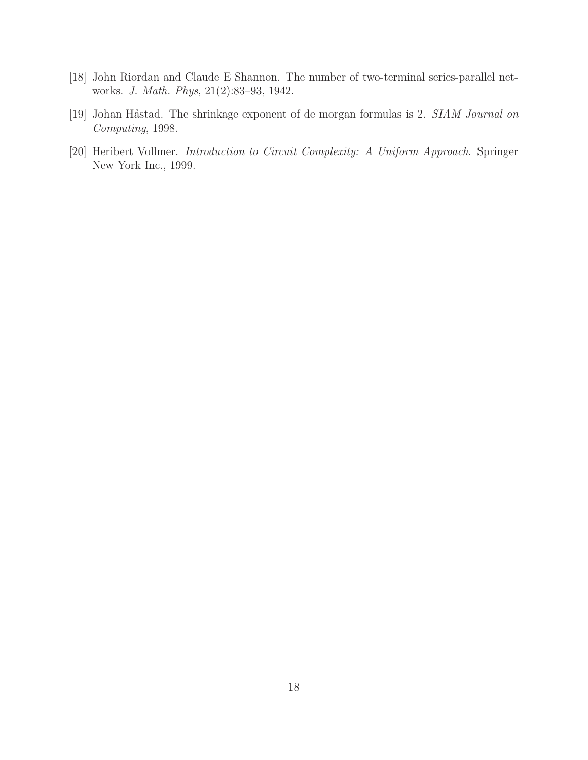- <span id="page-17-1"></span><span id="page-17-0"></span>[18] John Riordan and Claude E Shannon. The number of two-terminal series-parallel networks. *J. Math. Phys*, 21(2):83–93, 1942.
- <span id="page-17-2"></span>[19] Johan Håstad. The shrinkage exponent of de morgan formulas is 2. *SIAM Journal on Computing*, 1998.
- [20] Heribert Vollmer. *Introduction to Circuit Complexity: A Uniform Approach*. Springer New York Inc., 1999.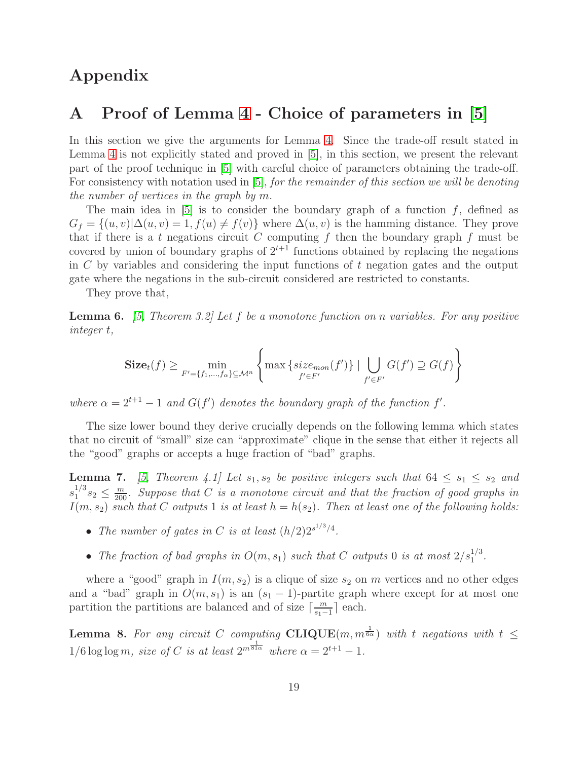### Appendix

## <span id="page-18-0"></span>A Proof of Lemma [4](#page-12-2) - Choice of parameters in [\[5\]](#page-16-0)

In this section we give the arguments for Lemma [4.](#page-12-2) Since the trade-off result stated in Lemma [4](#page-12-2) is not explicitly stated and proved in [\[5\]](#page-16-0), in this section, we present the relevant part of the proof technique in [\[5\]](#page-16-0) with careful choice of parameters obtaining the trade-off. For consistency with notation used in [\[5\]](#page-16-0), *for the remainder of this section we will be denoting the number of vertices in the graph by* m*.*

The main idea in  $[5]$  is to consider the boundary graph of a function f, defined as  $G_f = \{(u, v)|\Delta(u, v) = 1, f(u) \neq f(v)\}\$  where  $\Delta(u, v)$  is the hamming distance. They prove that if there is a t negations circuit C computing f then the boundary graph f must be covered by union of boundary graphs of  $2^{t+1}$  functions obtained by replacing the negations in  $C$  by variables and considering the input functions of  $t$  negation gates and the output gate where the negations in the sub-circuit considered are restricted to constants.

<span id="page-18-1"></span>They prove that,

Lemma 6. *[\[5,](#page-16-0) Theorem 3.2] Let* f *be a monotone function on* n *variables. For any positive integer* t*,*

$$
\mathbf{Size}_{t}(f) \ge \min_{F'=\{f_1,\dots,f_{\alpha}\}\subseteq\mathcal{M}^n} \left\{ \max \left\{ size_{mon}(f') \right\} \mid \bigcup_{f'\in F'} G(f') \supseteq G(f) \right\}
$$

*where*  $\alpha = 2^{t+1} - 1$  *and*  $G(f')$  *denotes the boundary graph of the function*  $f'$ *.* 

The size lower bound they derive crucially depends on the following lemma which states that no circuit of "small" size can "approximate" clique in the sense that either it rejects all the "good" graphs or accepts a huge fraction of "bad" graphs.

**Lemma 7.** [\[5,](#page-16-0) Theorem 4.1] Let  $s_1$ ,  $s_2$  be positive integers such that  $64 \leq s_1 \leq s_2$  and  $s_1^{1/3}$  $n_1^{1/3}s_2 \leq \frac{m}{200}$ . Suppose that C is a monotone circuit and that the fraction of good graphs in  $I(m, s_2)$  such that C outputs 1 is at least  $h = h(s_2)$ . Then at least one of the following holds:

- The number of gates in C is at least  $(h/2)2^{s^{1/3}/4}$ .
- The fraction of bad graphs in  $O(m, s_1)$  such that C outputs 0 is at most  $2/s_1^{1/3}$ .

where a "good" graph in  $I(m, s_2)$  is a clique of size  $s_2$  on m vertices and no other edges and a "bad" graph in  $O(m, s_1)$  is an  $(s_1 - 1)$ -partite graph where except for at most one partition the partitions are balanced and of size  $\left\lceil \frac{m}{s_1 - m} \right\rceil$  $\frac{m}{s_1-1}$  each.

**Lemma 8.** For any circuit C computing  $CLIQUE(m, m^{\frac{1}{6\alpha}})$  with t negations with  $t \leq$  $1/6 \log \log m$ , size of C is at least  $2^{m \frac{1}{81\alpha}}$  where  $\alpha = 2^{t+1} - 1$ .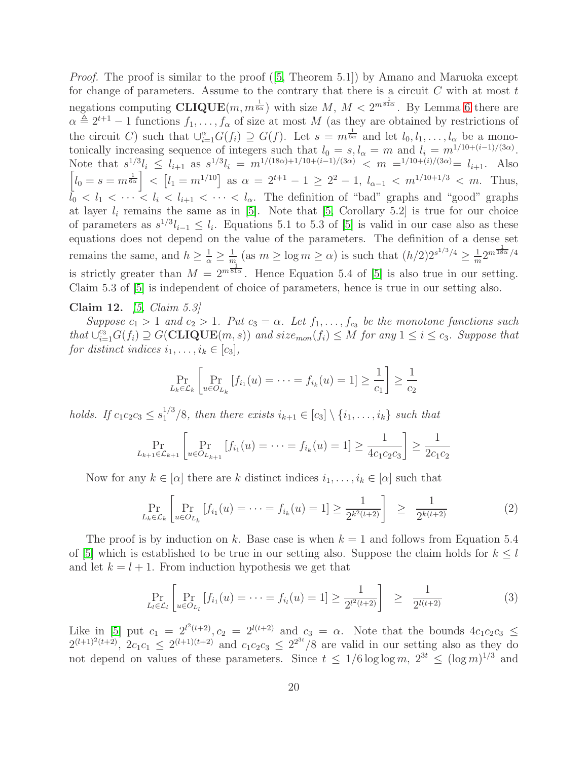*Proof.* The proof is similar to the proof ([\[5,](#page-16-0) Theorem 5.1]) by Amano and Maruoka except for change of parameters. Assume to the contrary that there is a circuit  $C$  with at most  $t$ negations computing  $CLIQUE(m, m^{\frac{1}{6\alpha}})$  with size  $M, M < 2^{m^{\frac{1}{81\alpha}}}$ . By Lemma [6](#page-18-1) there are  $\alpha \triangleq 2^{t+1} - 1$  functions  $f_1, \ldots, f_\alpha$  of size at most M (as they are obtained by restrictions of the circuit C) such that  $\bigcup_{i=1}^{\alpha} G(f_i) \supseteq G(f)$ . Let  $s = m^{\frac{1}{6\alpha}}$  and let  $l_0, l_1, \ldots, l_{\alpha}$  be a monotonically increasing sequence of integers such that  $l_0 = s, l_\alpha = m$  and  $l_i = m^{1/10 + (i-1)/(3\alpha)}$ . Note that  $s^{1/3}l_i \leq l_{i+1}$  as  $s^{1/3}l_i = m^{1/(18\alpha)+1/10+(i-1)/(3\alpha)} < m = 1/10+(i)/(3\alpha) = l_{i+1}$ . Also  $\left[l_0 = s = m^{\frac{1}{6\alpha}}\right] < \left[l_1 = m^{1/10}\right]$  as  $\alpha = 2^{t+1} - 1 \geq 2^2 - 1$ ,  $l_{\alpha-1} < m^{1/10+1/3} < m$ . Thus,  $l_0 < l_1 < \cdots < l_i < l_{i+1} < \cdots < l_{\alpha}$ . The definition of "bad" graphs and "good" graphs at layer  $l_i$  remains the same as in [\[5\]](#page-16-0). Note that [\[5,](#page-16-0) Corollary 5.2] is true for our choice of parameters as  $s^{1/3}l_{i-1} \leq l_i$ . Equations 5.1 to 5.3 of [\[5\]](#page-16-0) is valid in our case also as these equations does not depend on the value of the parameters. The definition of a dense set remains the same, and  $h \geq \frac{1}{\alpha} \geq \frac{1}{m}$  $\frac{1}{m}$  (as  $m \ge \log m \ge \alpha$ ) is such that  $(h/2)2^{s^{1/3}/4} \ge \frac{1}{m}$  $\frac{1}{m}2^{m\frac{1}{18\alpha}}/4$ is strictly greater than  $M = 2^{m\overline{\delta 1\alpha}}$ . Hence Equation 5.4 of [\[5\]](#page-16-0) is also true in our setting. 1 Claim 5.3 of [\[5\]](#page-16-0) is independent of choice of parameters, hence is true in our setting also.

#### <span id="page-19-0"></span>Claim 12. *[\[5,](#page-16-0) Claim 5.3]*

*Suppose*  $c_1 > 1$  *and*  $c_2 > 1$ *. Put*  $c_3 = \alpha$ *. Let*  $f_1, \ldots, f_{c_3}$  *be the monotone functions such*  $that \cup_{i=1}^{c_3} G(f_i) \supseteq G(\mathbf{CLIQUE}(m, s))$  and  $size_{mon}(f_i) \leq M$  for any  $1 \leq i \leq c_3$ . Suppose that *for distinct indices*  $i_1, \ldots, i_k \in [c_3]$ *,* 

$$
\Pr_{L_k \in \mathcal{L}_k} \left[ \Pr_{u \in O_{L_k}} \left[ f_{i_1}(u) = \dots = f_{i_k}(u) = 1 \right] \ge \frac{1}{c_1} \right] \ge \frac{1}{c_2}
$$

*holds.* If  $c_1c_2c_3 \leq s_1^{1/3}/8$ , then there exists  $i_{k+1} \in [c_3] \setminus \{i_1, \ldots, i_k\}$  such that

$$
\Pr_{L_{k+1} \in \mathcal{L}_{k+1}} \left[ \Pr_{u \in O_{L_{k+1}}} \left[ f_{i_1}(u) = \dots = f_{i_k}(u) = 1 \right] \ge \frac{1}{4c_1c_2c_3} \right] \ge \frac{1}{2c_1c_2}
$$

Now for any  $k \in [\alpha]$  there are k distinct indices  $i_1, \ldots, i_k \in [\alpha]$  such that

<span id="page-19-1"></span>
$$
\Pr_{L_k \in \mathcal{L}_k} \left[ \Pr_{u \in O_{L_k}} \left[ f_{i_1}(u) = \dots = f_{i_k}(u) = 1 \right] \ge \frac{1}{2^{k^2(t+2)}} \right] \ge \frac{1}{2^{k(t+2)}} \tag{2}
$$

The proof is by induction on k. Base case is when  $k = 1$  and follows from Equation 5.4 of [\[5\]](#page-16-0) which is established to be true in our setting also. Suppose the claim holds for  $k \leq l$ and let  $k = l + 1$ . From induction hypothesis we get that

$$
\Pr_{L_l \in \mathcal{L}_l} \left[ \Pr_{u \in O_{L_l}} \left[ f_{i_1}(u) = \dots = f_{i_l}(u) = 1 \right] \ge \frac{1}{2^{l^2(t+2)}} \right] \ge \frac{1}{2^{l(t+2)}} \tag{3}
$$

Like in [\[5\]](#page-16-0) put  $c_1 = 2^{l^2(t+2)}$ ,  $c_2 = 2^{l(t+2)}$  and  $c_3 = \alpha$ . Note that the bounds  $4c_1c_2c_3 \leq$  $2^{(l+1)^2(t+2)}$ ,  $2c_1c_1 \leq 2^{(l+1)(t+2)}$  and  $c_1c_2c_3 \leq 2^{2^{3t}}/8$  are valid in our setting also as they do not depend on values of these parameters. Since  $t \leq 1/6 \log \log m$ ,  $2^{3t} \leq (\log m)^{1/3}$  and